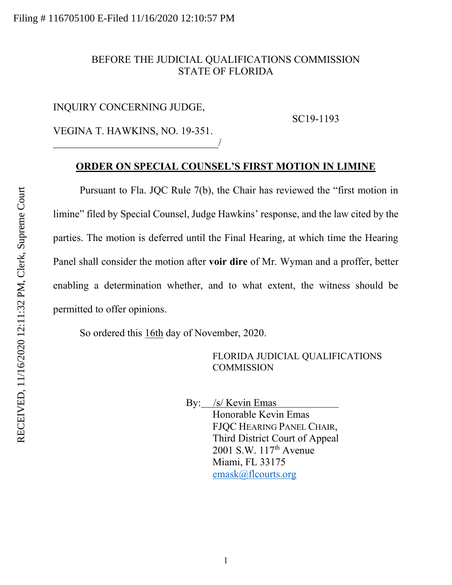## BEFORE THE JUDICIAL QUALIFICATIONS COMMISSION STATE OF FLORIDA

## INQUIRY CONCERNING JUDGE,

SC19-1193

VEGINA T. HAWKINS, NO. 19-351.  $\overline{\phantom{a}}$ 

## **ORDER ON SPECIAL COUNSEL'S FIRST MOTION IN LIMINE**

Pursuant to Fla. JQC Rule 7(b), the Chair has reviewed the "first motion in limine" filed by Special Counsel, Judge Hawkins' response, and the law cited by the parties. The motion is deferred until the Final Hearing, at which time the Hearing Panel shall consider the motion after **voir dire** of Mr. Wyman and a proffer, better enabling a determination whether, and to what extent, the witness should be permitted to offer opinions.

So ordered this 16th day of November, 2020.

FLORIDA JUDICIAL QUALIFICATIONS **COMMISSION** 

 By: /s/ Kevin Emas Honorable Kevin Emas FJQC HEARING PANEL CHAIR, Third District Court of Appeal 2001 S.W. 117<sup>th</sup> Avenue Miami, FL 33175 [emask@flcourts.org](mailto:emask@flcourts.org)